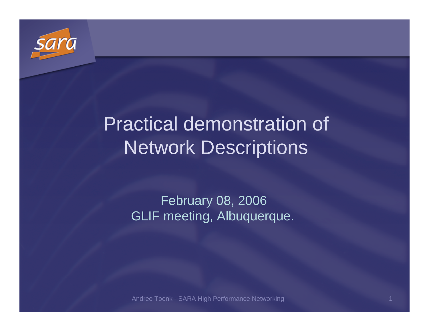

## Practical demonstration of Network Descriptions

February 08, 2006GLIF meeting, Albuquerque.

Andree Toonk - SARA High Performance Networkingdiscovered the control of the control of the control of the control of the control of the control of the control of the control of the control of the control of the control of the control of the control of the control of t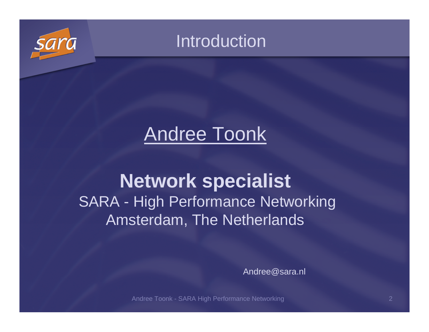

### Introduction

### Andree Toonk

### **Network specialist** SARA - High Performance Networking Amsterdam, The Netherlands

Andree@sara.nl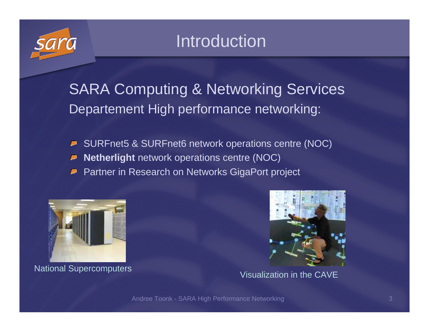

### Introduction

SARA Computing & Networking Services Departement High performance networking:

- SURFnet5 & SURFnet6 network operations centre (NOC) $\overline{\phantom{a}}$
- لع **Netherlight** network operations centre (NOC)
- Partner in Research on Networks GigaPort project لیے



National Supercomputers Visualization in the CAVE

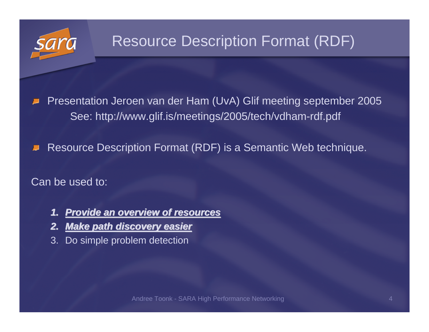

### Resource Description Format (RDF)

Presentation Jeroen van der Ham (UvA) Glif meeting september 2005See: http://www.glif.is/meetings/2005/tech/vdham-rdf.pdf

Resource Description Format (RDF) is a Semantic Web technique.

Can be used to:

- **1. Provide an overview of resources**
- **2. Make path discovery easier**
- 3. Do simple problem detection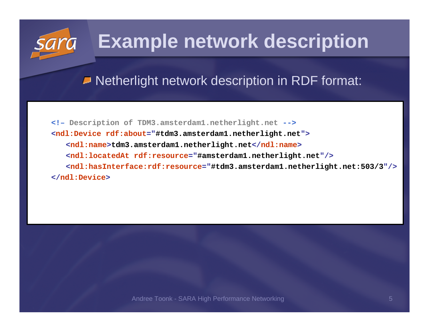### **Example network description**

■ Netherlight network description in RDF format:

**<!– Description of TDM3.amsterdam1.netherlight.net --> <ndl:Device rdf:about="#tdm3.amsterdam1.netherlight.net"> <ndl:name>tdm3.amsterdam1.netherlight.net</ndl:name><ndl:locatedAt rdf:resource="#amsterdam1.netherlight.net"/> <ndl:hasInterface:rdf:resource="#tdm3.amsterdam1.netherlight.net:503/3"/></ndl:Device>**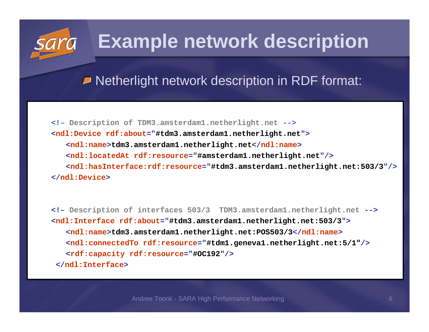### **Example network description**

■ Netherlight network description in RDF format:

**<!– Description of TDM3.amsterdam1.netherlight.net --> <ndl:Device rdf:about="#tdm3.amsterdam1.netherlight.net"> <ndl:name>tdm3.amsterdam1.netherlight.net</ndl:name><ndl:locatedAt rdf:resource="#amsterdam1.netherlight.net"/> <ndl:hasInterface:rdf:resource="#tdm3.amsterdam1.netherlight.net:503/3"/></ndl:Device>**

**<!– Description of interfaces 503/3 TDM3.amsterdam1.netherlight.net --> <ndl:Interface rdf:about="#tdm3.amsterdam1.netherlight.net:503/3"> <ndl:name>tdm3.amsterdam1.netherlight.net:POS503/3</ndl:name> <ndl:connectedTo rdf:resource="#tdm1.geneva1.netherlight.net:5/1"/> <rdf:capacity rdf:resource="#OC192"/> </ndl:Interface>**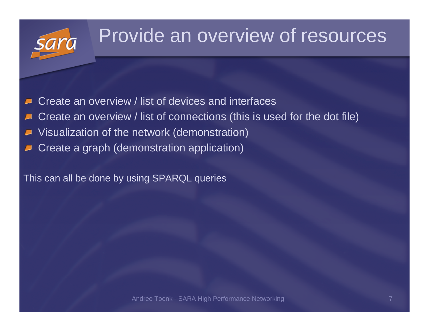### Provide an overview of resources

- Create an overview / list of devices and interfaces
- Create an overview / list of connections (this is used for the dot file)
- Visualization of the network (demonstration)
- Create a graph (demonstration application)

This can all be done by using SPARQL queries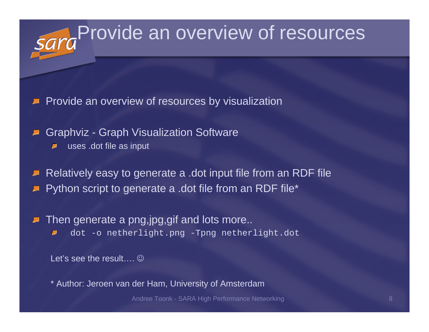# Provide an overview of resources

- Provide an overview of resources by visualization
- Graphviz Graph Visualization Software
	- uses .dot file as inputD
- Relatively easy to generate a .dot input file from an RDF filePython script to generate a .dot file from an RDF file\*
- Then generate a png,jpg,gif and lots more.. dot -o netherlight.png -Tpng netherlight.dot ρ

Let's see the result….  $\mathbb{\odot}$ 

\* Author: Jeroen van der Ham, University of Amsterdam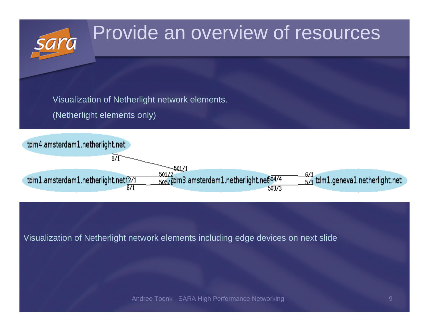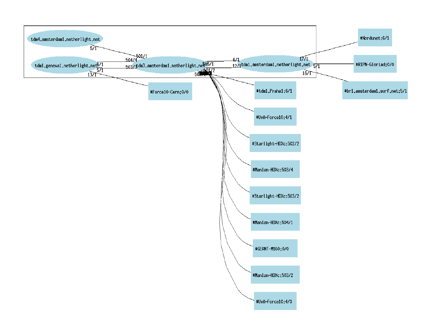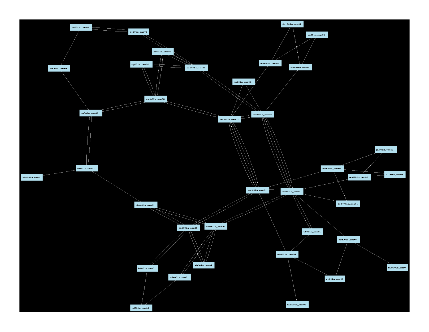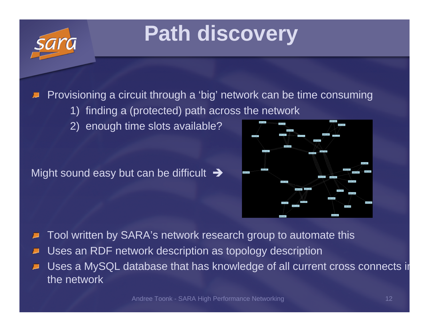# **Path discovery**

Provisioning a circuit through a 'big' network can be time consuming

- 1) finding a (protected) path across the network
- 2) enough time slots available?

Might sound easy but can be difficult  $\,\rightarrow\,$ 



Tool written by SARA's network research group to automate this

- Uses an RDF network description as topology description
- Uses a MySQL database that has knowledge of all current cross connects in the network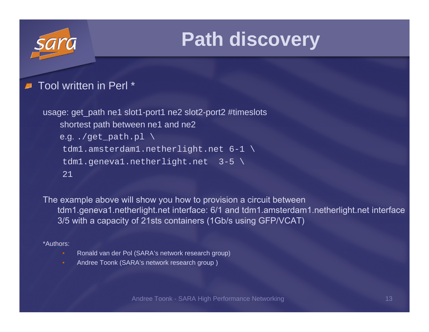### **Path discovery**

### Tool written in Perl \* $\blacksquare$

```
usage: get_path ne1 slot1-port1 ne2 slot2-port2 #timeslotsshortest path between ne1 and ne2e.g. ./get\_path.pl \ \ \ \ \ \tdm1.amsterdam1.netherlight.net 6-1 \tdml.geneval.netherlight.net 3-5 \
21
```
The example above will show you how to provision a circuit between tdm1.geneva1.netherlight.net interface: 6/1 and tdm1.amsterdam1.netherlight.net interface 3/5 with a capacity of 21sts containers (1Gb/s using GFP/VCAT)

### \*Authors:

- Ronald van der Pol (SARA's network research group)
- Andree Toonk (SARA's network research group )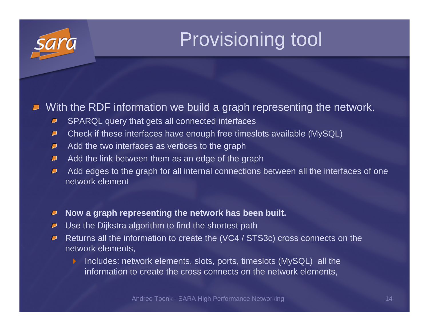# Provisioning tool

### With the RDF information we build a graph representing the network.

- SPARQL query that gets all connected interfaces  $\blacksquare$
- Check if these interfaces have enough free timeslots available (MySQL)ρ
- Add the two interfaces as vertices to the graph  $\overline{\phantom{a}}$
- Add the link between them as an edge of the graph  $\blacksquare$
- Add edges to the graph for all internal connections between all the interfaces of one ₽ network element
- **Now a graph representing the network has been built.**υ
- $\blacksquare$  Use the Dijkstra algorithm to find the shortest path
- Returns all the information to create the (VC4 / STS3c) cross connects on the Ø. network elements,
	- $\blacktriangleright$  Includes: network elements, slots, ports, timeslots (MySQL) all the information to create the cross connects on the network elements,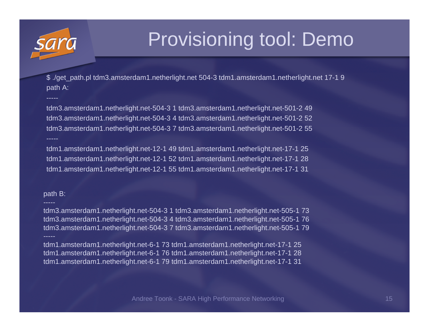

-----

## Provisioning tool: Demo

\$ ./get\_path.pl tdm3.amsterdam1.netherlight.net 504-3 tdm1.amsterdam1.netherlight.net 17-1 9path A:

tdm3.amsterdam1.netherlight.net-504-3 1 tdm3.amsterdam1.netherlight.net-501-2 49 tdm3.amsterdam1.netherlight.net-504-3 4 tdm3.amsterdam1.netherlight.net-501-2 52 tdm3.amsterdam1.netherlight.net-504-3 7 tdm3.amsterdam1.netherlight.net-501-2 55-----

tdm1.amsterdam1.netherlight.net-12-1 49 tdm1.amsterdam1.netherlight.net-17-1 25 tdm1.amsterdam1.netherlight.net-12-1 52 tdm1.amsterdam1.netherlight.net-17-1 28tdm1.amsterdam1.netherlight.net-12-1 55 tdm1.amsterdam1.netherlight.net-17-1 31

### path B:

-----

---- tdm3.amsterdam1.netherlight.net-504-3 1 tdm3.amsterdam1.netherlight.net-505-1 73 tdm3.amsterdam1.netherlight.net-504-3 4 tdm3.amsterdam1.netherlight.net-505-1 76tdm3.amsterdam1.netherlight.net-504-3 7 tdm3.amsterdam1.netherlight.net-505-1 79

tdm1.amsterdam1.netherlight.net-6-1 73 tdm1.amsterdam1.netherlight.net-17-1 25 tdm1.amsterdam1.netherlight.net-6-1 76 tdm1.amsterdam1.netherlight.net-17-1 28tdm1.amsterdam1.netherlight.net-6-1 79 tdm1.amsterdam1.netherlight.net-17-1 31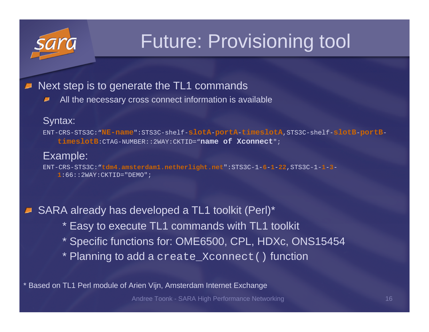

## Future: Provisioning tool

### Next step is to generate the TL1 commands ■

All the necessary cross connect information is available₽

### Syntax:

ENT-CRS-STS3C:"**NE-name**":STS3C-shelf-**slotA**-**portA**-**timeslotA**,STS3C-shelf-**slotB**-**portB**-**timeslotB**:CTAG-NUMBER::2WAY:CKTID="**name of Xconnect**";

### Example:

ENT-CRS-STS3C:"**tdm4.amsterdam1.netherlight.net**":STS3C-1-**6**-**1**-**22**,STS3C-1-**1**-**3**-**1**:66::2WAY:CKTID="DEMO";

■ SARA already has developed a TL1 toolkit (Perl)<sup>\*</sup>

- \* Easy to execute TL1 commands with TL1 toolkit
- \* Specific functions for: OME6500, CPL, HDXc, ONS15454
- \* Planning to add a create\_Xconnect() function

Based on TL1 Perl module of Arien Vijn, Amsterdam Internet Exchange